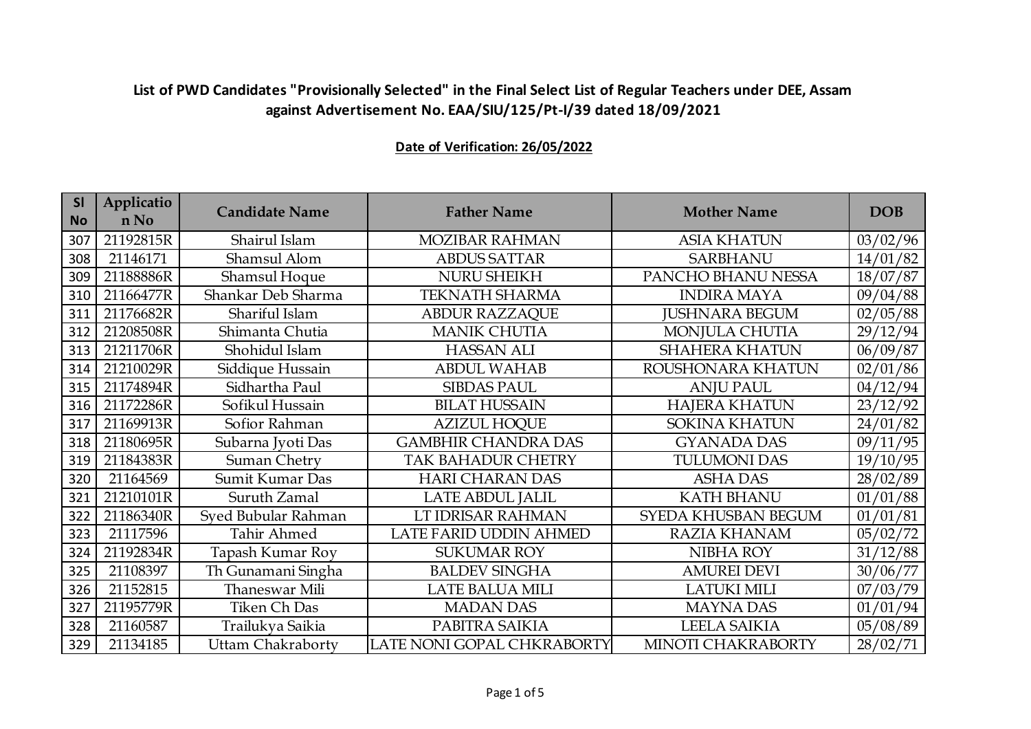| <b>SI</b><br><b>No</b> | Applicatio<br>n No | <b>Candidate Name</b>    | <b>Father Name</b>         | <b>Mother Name</b>    | <b>DOB</b> |
|------------------------|--------------------|--------------------------|----------------------------|-----------------------|------------|
| 307                    | 21192815R          | Shairul Islam            | MOZIBAR RAHMAN             | <b>ASIA KHATUN</b>    | 03/02/96   |
| 308                    | 21146171           | Shamsul Alom             | <b>ABDUS SATTAR</b>        | <b>SARBHANU</b>       | 14/01/82   |
| 309                    | 21188886R          | <b>Shamsul Hoque</b>     | <b>NURU SHEIKH</b>         | PANCHO BHANU NESSA    | 18/07/87   |
| 310                    | 21166477R          | Shankar Deb Sharma       | <b>TEKNATH SHARMA</b>      | <b>INDIRA MAYA</b>    | 09/04/88   |
| 311                    | 21176682R          | Shariful Islam           | <b>ABDUR RAZZAQUE</b>      | <b>JUSHNARA BEGUM</b> | 02/05/88   |
| 312                    | 21208508R          | Shimanta Chutia          | <b>MANIK CHUTIA</b>        | MONJULA CHUTIA        | 29/12/94   |
| 313                    | 21211706R          | Shohidul Islam           | <b>HASSAN ALI</b>          | <b>SHAHERA KHATUN</b> | 06/09/87   |
| 314                    | 21210029R          | Siddique Hussain         | <b>ABDUL WAHAB</b>         | ROUSHONARA KHATUN     | 02/01/86   |
| 315                    | 21174894R          | Sidhartha Paul           | <b>SIBDAS PAUL</b>         | <b>ANJU PAUL</b>      | 04/12/94   |
| 316                    | 21172286R          | Sofikul Hussain          | <b>BILAT HUSSAIN</b>       | <b>HAJERA KHATUN</b>  | 23/12/92   |
| 317                    | 21169913R          | Sofior Rahman            | <b>AZIZUL HOQUE</b>        | <b>SOKINA KHATUN</b>  | 24/01/82   |
| 318                    | 21180695R          | Subarna Jyoti Das        | <b>GAMBHIR CHANDRA DAS</b> | <b>GYANADA DAS</b>    | 09/11/95   |
| 319                    | 21184383R          | Suman Chetry             | <b>TAK BAHADUR CHETRY</b>  | <b>TULUMONI DAS</b>   | 19/10/95   |
| 320                    | 21164569           | Sumit Kumar Das          | <b>HARI CHARAN DAS</b>     | <b>ASHA DAS</b>       | 28/02/89   |
| 321                    | 21210101R          | Suruth Zamal             | LATE ABDUL JALIL           | <b>KATH BHANU</b>     | 01/01/88   |
| 322                    | 21186340R          | Syed Bubular Rahman      | LT IDRISAR RAHMAN          | SYEDA KHUSBAN BEGUM   | 01/01/81   |
| 323                    | 21117596           | Tahir Ahmed              | LATE FARID UDDIN AHMED     | <b>RAZIA KHANAM</b>   | 05/02/72   |
| 324                    | 21192834R          | Tapash Kumar Roy         | <b>SUKUMAR ROY</b>         | <b>NIBHA ROY</b>      | 31/12/88   |
| 325                    | 21108397           | Th Gunamani Singha       | <b>BALDEV SINGHA</b>       | <b>AMUREI DEVI</b>    | 30/06/77   |
| 326                    | 21152815           | Thaneswar Mili           | <b>LATE BALUA MILI</b>     | <b>LATUKI MILI</b>    | 07/03/79   |
| 327                    | 21195779R          | Tiken Ch Das             | <b>MADAN DAS</b>           | <b>MAYNA DAS</b>      | 01/01/94   |
| 328                    | 21160587           | Trailukya Saikia         | PABITRA SAIKIA             | <b>LEELA SAIKIA</b>   | 05/08/89   |
| 329                    | 21134185           | <b>Uttam Chakraborty</b> | LATE NONI GOPAL CHKRABORTY | MINOTI CHAKRABORTY    | 28/02/71   |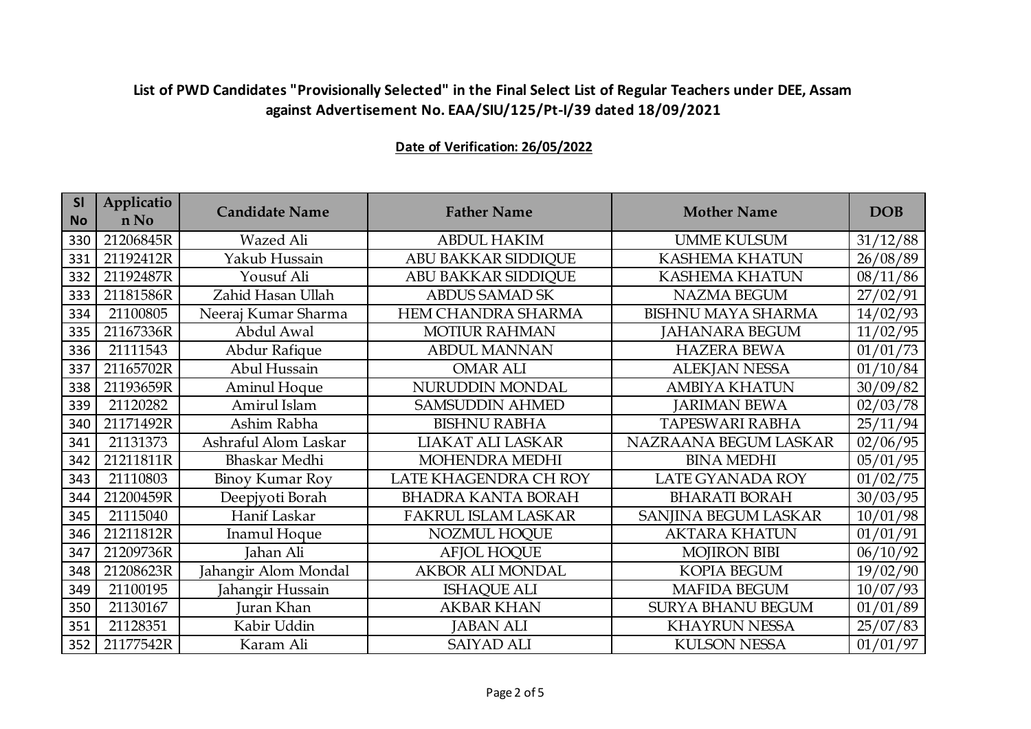| <b>SI</b><br><b>No</b> | Applicatio<br>n No | <b>Candidate Name</b> | <b>Father Name</b>         | <b>Mother Name</b>        | <b>DOB</b> |
|------------------------|--------------------|-----------------------|----------------------------|---------------------------|------------|
| 330                    | 21206845R          | Wazed Ali             | <b>ABDUL HAKIM</b>         | <b>UMME KULSUM</b>        | 31/12/88   |
| 331                    | 21192412R          | Yakub Hussain         | ABU BAKKAR SIDDIQUE        | <b>KASHEMA KHATUN</b>     | 26/08/89   |
| 332                    | 21192487R          | Yousuf Ali            | <b>ABU BAKKAR SIDDIQUE</b> | <b>KASHEMA KHATUN</b>     | 08/11/86   |
| 333                    | 21181586R          | Zahid Hasan Ullah     | <b>ABDUS SAMAD SK</b>      | <b>NAZMA BEGUM</b>        | 27/02/91   |
| 334                    | 21100805           | Neeraj Kumar Sharma   | HEM CHANDRA SHARMA         | <b>BISHNU MAYA SHARMA</b> | 14/02/93   |
| 335                    | 21167336R          | Abdul Awal            | <b>MOTIUR RAHMAN</b>       | <b>JAHANARA BEGUM</b>     | 11/02/95   |
| 336                    | 21111543           | Abdur Rafique         | <b>ABDUL MANNAN</b>        | <b>HAZERA BEWA</b>        | 01/01/73   |
| 337                    | 21165702R          | Abul Hussain          | <b>OMAR ALI</b>            | <b>ALEKJAN NESSA</b>      | 01/10/84   |
| 338                    | 21193659R          | Aminul Hoque          | NURUDDIN MONDAL            | <b>AMBIYA KHATUN</b>      | 30/09/82   |
| 339                    | 21120282           | Amirul Islam          | <b>SAMSUDDIN AHMED</b>     | <b>JARIMAN BEWA</b>       | 02/03/78   |
| 340                    | 21171492R          | Ashim Rabha           | <b>BISHNU RABHA</b>        | <b>TAPESWARI RABHA</b>    | 25/11/94   |
| 341                    | 21131373           | Ashraful Alom Laskar  | LIAKAT ALI LASKAR          | NAZRAANA BEGUM LASKAR     | 02/06/95   |
| 342                    | 21211811R          | Bhaskar Medhi         | <b>MOHENDRA MEDHI</b>      | <b>BINA MEDHI</b>         | 05/01/95   |
| 343                    | 21110803           | Binoy Kumar Roy       | LATE KHAGENDRA CH ROY      | LATE GYANADA ROY          | 01/02/75   |
| 344                    | 21200459R          | Deepjyoti Borah       | <b>BHADRA KANTA BORAH</b>  | <b>BHARATI BORAH</b>      | 30/03/95   |
| 345                    | 21115040           | Hanif Laskar          | FAKRUL ISLAM LASKAR        | SANJINA BEGUM LASKAR      | 10/01/98   |
| 346                    | 21211812R          | Inamul Hoque          | NOZMUL HOQUE               | <b>AKTARA KHATUN</b>      | 01/01/91   |
| 347                    | 21209736R          | Jahan Ali             | <b>AFJOL HOQUE</b>         | <b>MOJIRON BIBI</b>       | 06/10/92   |
| 348                    | 21208623R          | Jahangir Alom Mondal  | <b>AKBOR ALI MONDAL</b>    | <b>KOPIA BEGUM</b>        | 19/02/90   |
| 349                    | 21100195           | Jahangir Hussain      | <b>ISHAQUE ALI</b>         | <b>MAFIDA BEGUM</b>       | 10/07/93   |
| 350                    | 21130167           | Juran Khan            | <b>AKBAR KHAN</b>          | <b>SURYA BHANU BEGUM</b>  | 01/01/89   |
| 351                    | 21128351           | Kabir Uddin           | <b>JABAN ALI</b>           | <b>KHAYRUN NESSA</b>      | 25/07/83   |
| 352                    | 21177542R          | Karam Ali             | <b>SAIYAD ALI</b>          | <b>KULSON NESSA</b>       | 01/01/97   |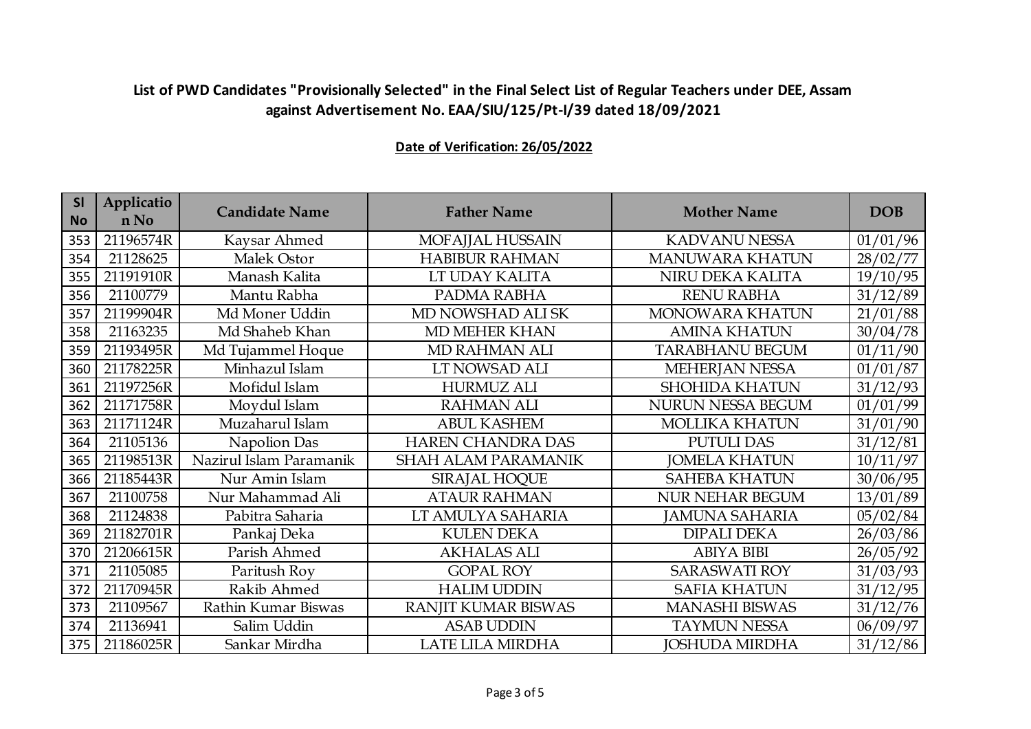| <b>SI</b><br><b>No</b> | Applicatio<br>n No | <b>Candidate Name</b>   | <b>Father Name</b>         | <b>Mother Name</b>       | <b>DOB</b> |
|------------------------|--------------------|-------------------------|----------------------------|--------------------------|------------|
| 353                    | 21196574R          | Kaysar Ahmed            | MOFAJJAL HUSSAIN           | <b>KADVANU NESSA</b>     | 01/01/96   |
| 354                    | 21128625           | Malek Ostor             | <b>HABIBUR RAHMAN</b>      | <b>MANUWARA KHATUN</b>   | 28/02/77   |
| 355                    | 21191910R          | Manash Kalita           | LT UDAY KALITA             | NIRU DEKA KALITA         | 19/10/95   |
| 356                    | 21100779           | Mantu Rabha             | PADMA RABHA                | <b>RENU RABHA</b>        | 31/12/89   |
| 357                    | 21199904R          | Md Moner Uddin          | MD NOWSHAD ALI SK          | MONOWARA KHATUN          | 21/01/88   |
| 358                    | 21163235           | Md Shaheb Khan          | MD MEHER KHAN              | <b>AMINA KHATUN</b>      | 30/04/78   |
| 359                    | 21193495R          | Md Tujammel Hoque       | MD RAHMAN ALI              | <b>TARABHANU BEGUM</b>   | 01/11/90   |
| 360                    | 21178225R          | Minhazul Islam          | LT NOWSAD ALI              | MEHERJAN NESSA           | 01/01/87   |
| 361                    | 21197256R          | Mofidul Islam           | <b>HURMUZ ALI</b>          | <b>SHOHIDA KHATUN</b>    | 31/12/93   |
| 362                    | 21171758R          | Moydul Islam            | <b>RAHMAN ALI</b>          | <b>NURUN NESSA BEGUM</b> | 01/01/99   |
| 363                    | 21171124R          | Muzaharul Islam         | <b>ABUL KASHEM</b>         | <b>MOLLIKA KHATUN</b>    | 31/01/90   |
| 364                    | 21105136           | Napolion Das            | <b>HAREN CHANDRA DAS</b>   | <b>PUTULI DAS</b>        | 31/12/81   |
| 365                    | 21198513R          | Nazirul Islam Paramanik | <b>SHAH ALAM PARAMANIK</b> | <b>JOMELA KHATUN</b>     | 10/11/97   |
| 366                    | 21185443R          | Nur Amin Islam          | <b>SIRAJAL HOQUE</b>       | <b>SAHEBA KHATUN</b>     | 30/06/95   |
| 367                    | 21100758           | Nur Mahammad Ali        | <b>ATAUR RAHMAN</b>        | <b>NUR NEHAR BEGUM</b>   | 13/01/89   |
| 368                    | 21124838           | Pabitra Saharia         | LT AMULYA SAHARIA          | <b>JAMUNA SAHARIA</b>    | 05/02/84   |
| 369                    | 21182701R          | Pankaj Deka             | <b>KULEN DEKA</b>          | <b>DIPALI DEKA</b>       | 26/03/86   |
| 370                    | 21206615R          | Parish Ahmed            | <b>AKHALAS ALI</b>         | <b>ABIYA BIBI</b>        | 26/05/92   |
| 371                    | 21105085           | Paritush Roy            | <b>GOPAL ROY</b>           | <b>SARASWATI ROY</b>     | 31/03/93   |
| 372                    | 21170945R          | Rakib Ahmed             | <b>HALIM UDDIN</b>         | <b>SAFIA KHATUN</b>      | 31/12/95   |
| 373                    | 21109567           | Rathin Kumar Biswas     | RANJIT KUMAR BISWAS        | <b>MANASHI BISWAS</b>    | 31/12/76   |
| 374                    | 21136941           | Salim Uddin             | <b>ASAB UDDIN</b>          | <b>TAYMUN NESSA</b>      | 06/09/97   |
| 375                    | 21186025R          | Sankar Mirdha           | LATE LILA MIRDHA           | <b>JOSHUDA MIRDHA</b>    | 31/12/86   |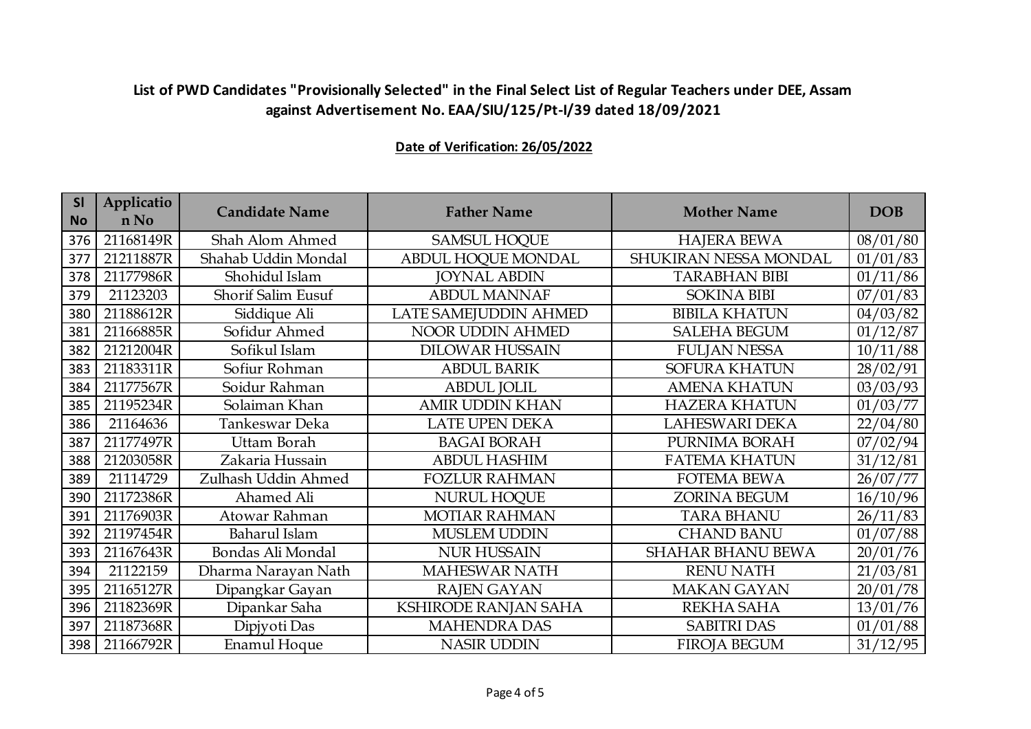| SI<br><b>No</b> | Applicatio<br>n No | <b>Candidate Name</b> | <b>Father Name</b>      | <b>Mother Name</b>       | <b>DOB</b> |
|-----------------|--------------------|-----------------------|-------------------------|--------------------------|------------|
| 376             | 21168149R          | Shah Alom Ahmed       | <b>SAMSUL HOQUE</b>     | <b>HAJERA BEWA</b>       | 08/01/80   |
| 377             | 21211887R          | Shahab Uddin Mondal   | ABDUL HOQUE MONDAL      | SHUKIRAN NESSA MONDAL    | 01/01/83   |
| 378             | 21177986R          | Shohidul Islam        | <b>JOYNAL ABDIN</b>     | <b>TARABHAN BIBI</b>     | 01/11/86   |
| 379             | 21123203           | Shorif Salim Eusuf    | <b>ABDUL MANNAF</b>     | <b>SOKINA BIBI</b>       | 07/01/83   |
| 380             | 21188612R          | Siddique Ali          | LATE SAMEJUDDIN AHMED   | <b>BIBILA KHATUN</b>     | 04/03/82   |
| 381             | 21166885R          | Sofidur Ahmed         | <b>NOOR UDDIN AHMED</b> | <b>SALEHA BEGUM</b>      | 01/12/87   |
| 382             | 21212004R          | Sofikul Islam         | <b>DILOWAR HUSSAIN</b>  | <b>FULJAN NESSA</b>      | 10/11/88   |
| 383             | 21183311R          | Sofiur Rohman         | <b>ABDUL BARIK</b>      | SOFURA KHATUN            | 28/02/91   |
| 384             | 21177567R          | Soidur Rahman         | <b>ABDUL JOLIL</b>      | <b>AMENA KHATUN</b>      | 03/03/93   |
| 385             | 21195234R          | Solaiman Khan         | <b>AMIR UDDIN KHAN</b>  | <b>HAZERA KHATUN</b>     | 01/03/77   |
| 386             | 21164636           | Tankeswar Deka        | <b>LATE UPEN DEKA</b>   | <b>LAHESWARI DEKA</b>    | 22/04/80   |
| 387             | 21177497R          | Uttam Borah           | <b>BAGAI BORAH</b>      | PURNIMA BORAH            | 07/02/94   |
| 388             | 21203058R          | Zakaria Hussain       | <b>ABDUL HASHIM</b>     | <b>FATEMA KHATUN</b>     | 31/12/81   |
| 389             | 21114729           | Zulhash Uddin Ahmed   | <b>FOZLUR RAHMAN</b>    | <b>FOTEMA BEWA</b>       | 26/07/77   |
| 390             | 21172386R          | Ahamed Ali            | <b>NURUL HOQUE</b>      | <b>ZORINA BEGUM</b>      | 16/10/96   |
| 391             | 21176903R          | Atowar Rahman         | <b>MOTIAR RAHMAN</b>    | <b>TARA BHANU</b>        | 26/11/83   |
| 392             | 21197454R          | Baharul Islam         | <b>MUSLEM UDDIN</b>     | <b>CHAND BANU</b>        | 01/07/88   |
| 393             | 21167643R          | Bondas Ali Mondal     | <b>NUR HUSSAIN</b>      | <b>SHAHAR BHANU BEWA</b> | 20/01/76   |
| 394             | 21122159           | Dharma Narayan Nath   | <b>MAHESWAR NATH</b>    | <b>RENU NATH</b>         | 21/03/81   |
| 395             | 21165127R          | Dipangkar Gayan       | <b>RAJEN GAYAN</b>      | <b>MAKAN GAYAN</b>       | 20/01/78   |
| 396             | 21182369R          | Dipankar Saha         | KSHIRODE RANJAN SAHA    | REKHA SAHA               | 13/01/76   |
| 397             | 21187368R          | Dipjyoti Das          | <b>MAHENDRA DAS</b>     | <b>SABITRI DAS</b>       | 01/01/88   |
| 398             | 21166792R          | <b>Enamul Hoque</b>   | <b>NASIR UDDIN</b>      | <b>FIROJA BEGUM</b>      | 31/12/95   |